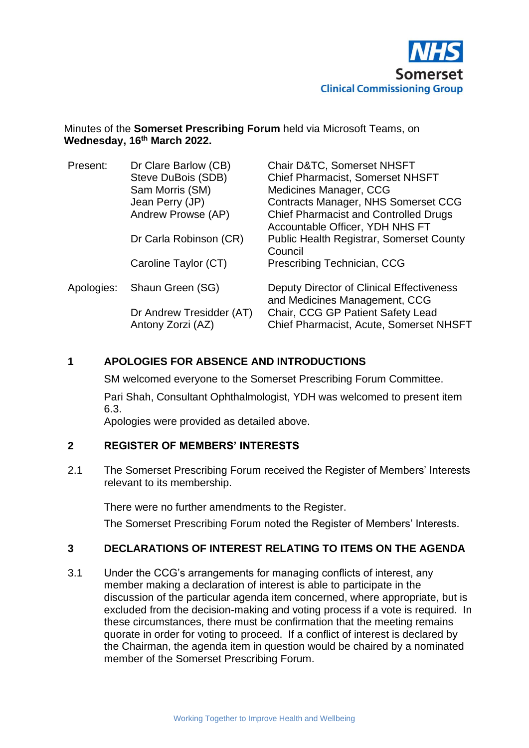

#### Minutes of the **Somerset Prescribing Forum** held via Microsoft Teams, on **Wednesday, 16 th March 2022.**

| Present:   | Dr Clare Barlow (CB)<br>Steve DuBois (SDB)<br>Sam Morris (SM)<br>Jean Perry (JP)<br>Andrew Prowse (AP) | <b>Chair D&amp;TC, Somerset NHSFT</b><br><b>Chief Pharmacist, Somerset NHSFT</b><br>Medicines Manager, CCG<br><b>Contracts Manager, NHS Somerset CCG</b><br><b>Chief Pharmacist and Controlled Drugs</b><br>Accountable Officer, YDH NHS FT |
|------------|--------------------------------------------------------------------------------------------------------|---------------------------------------------------------------------------------------------------------------------------------------------------------------------------------------------------------------------------------------------|
|            | Dr Carla Robinson (CR)                                                                                 | <b>Public Health Registrar, Somerset County</b><br>Council                                                                                                                                                                                  |
|            | Caroline Taylor (CT)                                                                                   | Prescribing Technician, CCG                                                                                                                                                                                                                 |
| Apologies: | Shaun Green (SG)                                                                                       | Deputy Director of Clinical Effectiveness<br>and Medicines Management, CCG                                                                                                                                                                  |
|            | Dr Andrew Tresidder (AT)<br>Antony Zorzi (AZ)                                                          | Chair, CCG GP Patient Safety Lead<br><b>Chief Pharmacist, Acute, Somerset NHSFT</b>                                                                                                                                                         |

#### **1 APOLOGIES FOR ABSENCE AND INTRODUCTIONS**

SM welcomed everyone to the Somerset Prescribing Forum Committee.

Pari Shah, Consultant Ophthalmologist, YDH was welcomed to present item 6.3.

Apologies were provided as detailed above.

# **2 REGISTER OF MEMBERS' INTERESTS**

2.1 The Somerset Prescribing Forum received the Register of Members' Interests relevant to its membership.

There were no further amendments to the Register.

The Somerset Prescribing Forum noted the Register of Members' Interests.

#### **3 DECLARATIONS OF INTEREST RELATING TO ITEMS ON THE AGENDA**

3.1 Under the CCG's arrangements for managing conflicts of interest, any member making a declaration of interest is able to participate in the discussion of the particular agenda item concerned, where appropriate, but is excluded from the decision-making and voting process if a vote is required. In these circumstances, there must be confirmation that the meeting remains quorate in order for voting to proceed. If a conflict of interest is declared by the Chairman, the agenda item in question would be chaired by a nominated member of the Somerset Prescribing Forum.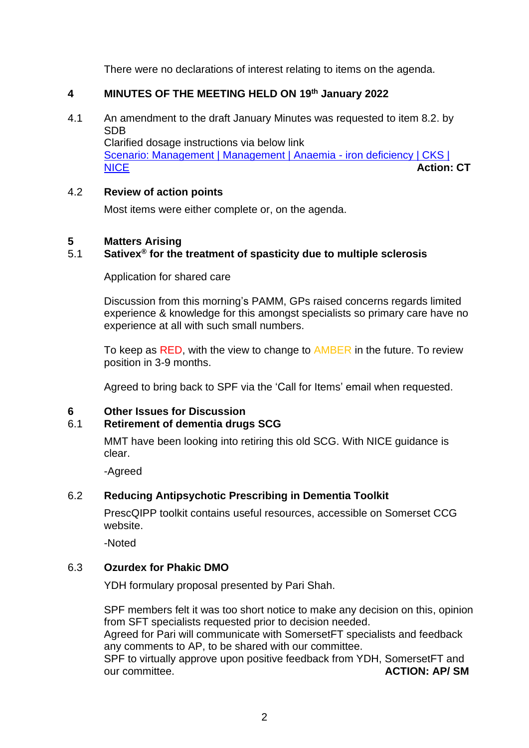There were no declarations of interest relating to items on the agenda.

### **4 MINUTES OF THE MEETING HELD ON 19th January 2022**

4.1 An amendment to the draft January Minutes was requested to item 8.2. by SDB Clarified dosage instructions via below link [Scenario: Management | Management | Anaemia -](https://cks.nice.org.uk/topics/anaemia-iron-deficiency/management/management/) iron deficiency | CKS |

[NICE](https://cks.nice.org.uk/topics/anaemia-iron-deficiency/management/management/) **Action: CT**

#### 4.2 **Review of action points**

Most items were either complete or, on the agenda.

# **5 Matters Arising**

# 5.1 **Sativex® for the treatment of spasticity due to multiple sclerosis**

#### Application for shared care

Discussion from this morning's PAMM, GPs raised concerns regards limited experience & knowledge for this amongst specialists so primary care have no experience at all with such small numbers.

To keep as RED, with the view to change to **AMBER** in the future. To review position in 3-9 months.

Agreed to bring back to SPF via the 'Call for Items' email when requested.

#### **6 Other Issues for Discussion**

# 6.1 **Retirement of dementia drugs SCG**

MMT have been looking into retiring this old SCG. With NICE guidance is clear.

-Agreed

# 6.2 **Reducing Antipsychotic Prescribing in Dementia Toolkit**

PrescQIPP toolkit contains useful resources, accessible on Somerset CCG website.

-Noted

# 6.3 **Ozurdex for Phakic DMO**

YDH formulary proposal presented by Pari Shah.

SPF members felt it was too short notice to make any decision on this, opinion from SFT specialists requested prior to decision needed.

Agreed for Pari will communicate with SomersetFT specialists and feedback any comments to AP, to be shared with our committee.

SPF to virtually approve upon positive feedback from YDH, SomersetFT and our committee. **ACTION: AP/ SM**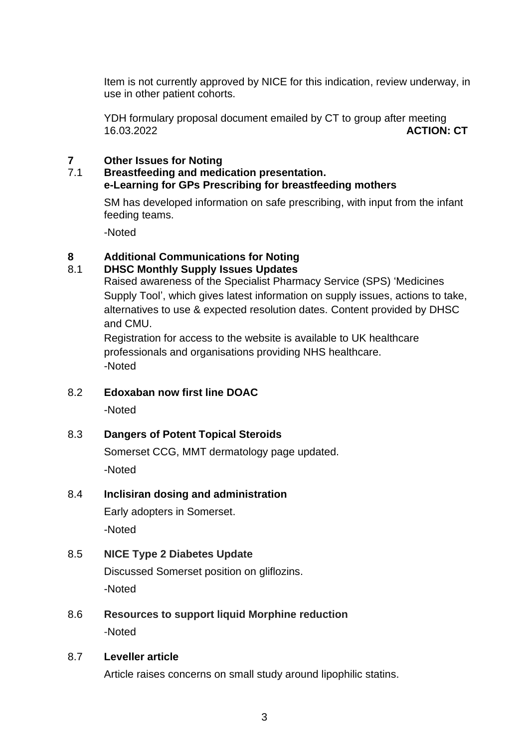Item is not currently approved by NICE for this indication, review underway, in use in other patient cohorts.

YDH formulary proposal document emailed by CT to group after meeting 16.03.2022 **ACTION: CT**

# **7 Other Issues for Noting**

#### 7.1 **Breastfeeding and medication presentation. e-Learning for GPs Prescribing for breastfeeding mothers**

SM has developed information on safe prescribing, with input from the infant feeding teams.

-Noted

# **8 Additional Communications for Noting**

# 8.1 **DHSC Monthly Supply Issues Updates**

Raised awareness of the Specialist Pharmacy Service (SPS) 'Medicines Supply Tool', which gives latest information on supply issues, actions to take, alternatives to use & expected resolution dates. Content provided by DHSC and CMU.

Registration for access to the website is available to UK healthcare professionals and organisations providing NHS healthcare. -Noted

# 8.2 **Edoxaban now first line DOAC**

-Noted

# 8.3 **Dangers of Potent Topical Steroids**

Somerset CCG, MMT dermatology page updated. -Noted

# 8.4 **Inclisiran dosing and administration**

Early adopters in Somerset. -Noted

# 8.5 **NICE Type 2 Diabetes Update**

Discussed Somerset position on gliflozins. -Noted

8.6 **Resources to support liquid Morphine reduction** -Noted

#### 8.7 **Leveller article**

Article raises concerns on small study around lipophilic statins.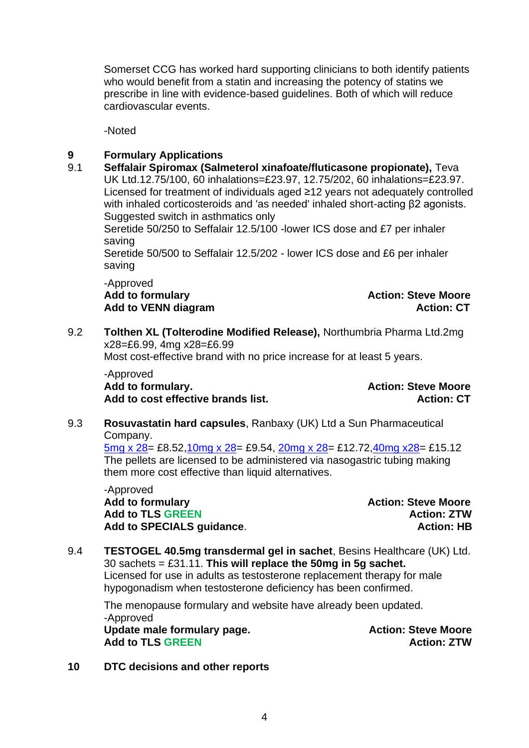Somerset CCG has worked hard supporting clinicians to both identify patients who would benefit from a statin and increasing the potency of statins we prescribe in line with evidence-based guidelines. Both of which will reduce cardiovascular events.

-Noted

# **9 Formulary Applications**

9.1 **Seffalair Spiromax (Salmeterol xinafoate/fluticasone propionate),** Teva UK Ltd.12.75/100, 60 inhalations=£23.97, 12.75/202, 60 inhalations=£23.97. Licensed for treatment of individuals aged ≥12 years not adequately controlled with inhaled corticosteroids and 'as needed' inhaled short-acting β2 agonists. Suggested switch in asthmatics only

Seretide 50/250 to Seffalair 12.5/100 -lower ICS dose and £7 per inhaler saving

Seretide 50/500 to Seffalair 12.5/202 - lower ICS dose and £6 per inhaler saving

-Approved Add to formulary **Action:** Steve Moore Add to VENN diagram **Action: CT Action: CT** 

9.2 **Tolthen XL (Tolterodine Modified Release),** Northumbria Pharma Ltd.2mg x28=£6.99, 4mg x28=£6.99 Most cost-effective brand with no price increase for at least 5 years.

-Approved<br>**Add to formularv.** 

**Action: Steve Moore Add to cost effective brands list. Action: CT**

9.3 **Rosuvastatin hard capsules**, Ranbaxy (UK) Ltd a Sun Pharmaceutical Company.

 $\frac{5mg \times 28}{25}$  £8.52,10mg x 28 = £9.54, 20mg x 28 = £12.72, 40mg x 28 = £15.12 The pellets are licensed to be administered via nasogastric tubing making them more cost effective than liquid alternatives.

-Approved Add to formulary **Action:** Steve Moore Add to TLS GREEN **Action: ZTW Add to SPECIALS guidance**. **Action: HB**

#### 9.4 **TESTOGEL 40.5mg transdermal gel in sachet**, Besins Healthcare (UK) Ltd. 30 sachets = £31.11. **This will replace the 50mg in 5g sachet.** Licensed for use in adults as testosterone replacement therapy for male hypogonadism when testosterone deficiency has been confirmed.

The menopause formulary and website have already been updated. -Approved Update male formulary page. The same of the Action: Steve Moore Add to TLS GREEN **Action: ZTW** 

**10 DTC decisions and other reports**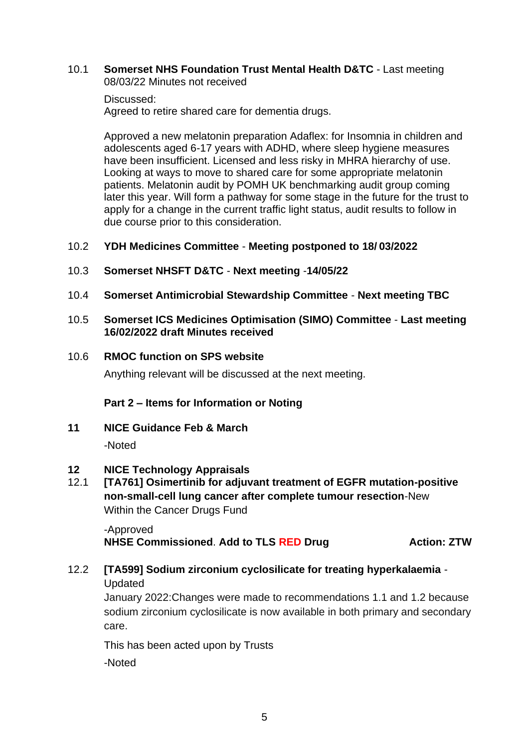#### 10.1 **Somerset NHS Foundation Trust Mental Health D&TC** - Last meeting 08/03/22 Minutes not received

#### Discussed:

Agreed to retire shared care for dementia drugs.

Approved a new melatonin preparation Adaflex: for Insomnia in children and adolescents aged 6-17 years with ADHD, where sleep hygiene measures have been insufficient. Licensed and less risky in MHRA hierarchy of use. Looking at ways to move to shared care for some appropriate melatonin patients. Melatonin audit by POMH UK benchmarking audit group coming later this year. Will form a pathway for some stage in the future for the trust to apply for a change in the current traffic light status, audit results to follow in due course prior to this consideration.

# 10.2 **YDH Medicines Committee** - **Meeting postponed to 18/ 03/2022**

- 10.3 **Somerset NHSFT D&TC Next meeting** -**14/05/22**
- 10.4 **Somerset Antimicrobial Stewardship Committee Next meeting TBC**

#### 10.5 **Somerset ICS Medicines Optimisation (SIMO) Committee** - **Last meeting 16/02/2022 draft Minutes received**

#### 10.6 **RMOC function on SPS website**

Anything relevant will be discussed at the next meeting.

# **Part 2 – Items for Information or Noting**

**11 NICE Guidance Feb & March**

-Noted

# **12 NICE Technology Appraisals**

12.1 **[TA761] Osimertinib for adjuvant treatment of EGFR mutation-positive non-small-cell lung cancer after complete tumour resection**-New Within the Cancer Drugs Fund

-Approved **NHSE Commissioned**. **Add to TLS RED Drug Action: ZTW**

# 12.2 **[TA599] Sodium zirconium cyclosilicate for treating hyperkalaemia** -

Updated

January 2022:Changes were made to recommendations 1.1 and 1.2 because sodium zirconium cyclosilicate is now available in both primary and secondary care.

This has been acted upon by Trusts

-Noted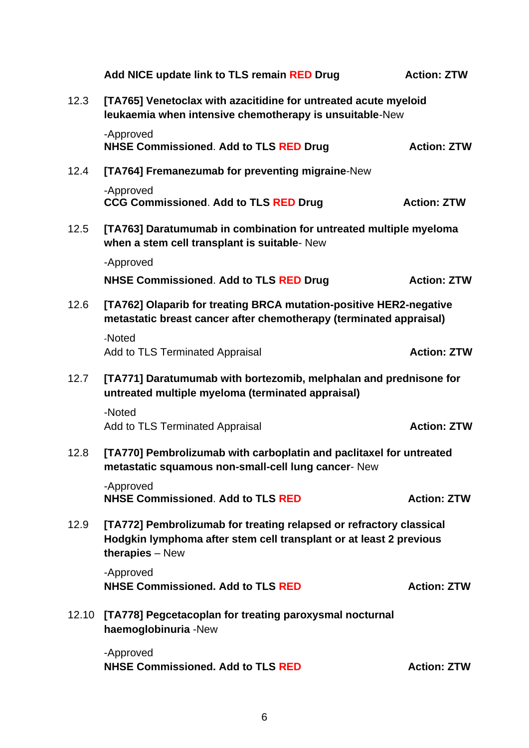|       | Add NICE update link to TLS remain RED Drug                                                                                                                  | <b>Action: ZTW</b> |  |
|-------|--------------------------------------------------------------------------------------------------------------------------------------------------------------|--------------------|--|
| 12.3  | [TA765] Venetoclax with azacitidine for untreated acute myeloid<br>leukaemia when intensive chemotherapy is unsuitable-New                                   |                    |  |
|       | -Approved<br><b>NHSE Commissioned. Add to TLS RED Drug</b>                                                                                                   | <b>Action: ZTW</b> |  |
| 12.4  | [TA764] Fremanezumab for preventing migraine-New                                                                                                             |                    |  |
|       | -Approved<br><b>CCG Commissioned. Add to TLS RED Drug</b>                                                                                                    | <b>Action: ZTW</b> |  |
| 12.5  | [TA763] Daratumumab in combination for untreated multiple myeloma<br>when a stem cell transplant is suitable- New                                            |                    |  |
|       | -Approved                                                                                                                                                    |                    |  |
|       | <b>NHSE Commissioned. Add to TLS RED Drug</b>                                                                                                                | <b>Action: ZTW</b> |  |
| 12.6  | [TA762] Olaparib for treating BRCA mutation-positive HER2-negative<br>metastatic breast cancer after chemotherapy (terminated appraisal)                     |                    |  |
|       | -Noted<br>Add to TLS Terminated Appraisal                                                                                                                    | <b>Action: ZTW</b> |  |
| 12.7  | [TA771] Daratumumab with bortezomib, melphalan and prednisone for<br>untreated multiple myeloma (terminated appraisal)                                       |                    |  |
|       | -Noted<br>Add to TLS Terminated Appraisal                                                                                                                    | <b>Action: ZTW</b> |  |
| 12.8  | [TA770] Pembrolizumab with carboplatin and paclitaxel for untreated<br>metastatic squamous non-small-cell lung cancer- New                                   |                    |  |
|       | -Approved<br><b>NHSE Commissioned. Add to TLS RED</b>                                                                                                        | <b>Action: ZTW</b> |  |
| 12.9  | [TA772] Pembrolizumab for treating relapsed or refractory classical<br>Hodgkin lymphoma after stem cell transplant or at least 2 previous<br>therapies - New |                    |  |
|       | -Approved<br><b>NHSE Commissioned. Add to TLS RED</b>                                                                                                        | <b>Action: ZTW</b> |  |
| 12.10 | [TA778] Pegcetacoplan for treating paroxysmal nocturnal<br>haemoglobinuria -New                                                                              |                    |  |
|       | -Approved<br><b>NHSE Commissioned. Add to TLS RED</b>                                                                                                        | <b>Action: ZTW</b> |  |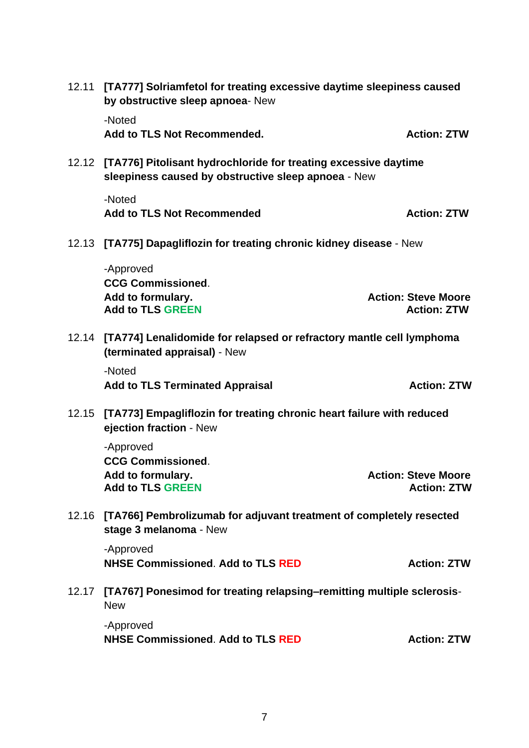|       | 12.11 [TA777] Solriamfetol for treating excessive daytime sleepiness caused<br>by obstructive sleep apnoea- New<br>-Noted |                                                  |  |
|-------|---------------------------------------------------------------------------------------------------------------------------|--------------------------------------------------|--|
|       | Add to TLS Not Recommended.                                                                                               | <b>Action: ZTW</b>                               |  |
| 12.12 | [TA776] Pitolisant hydrochloride for treating excessive daytime<br>sleepiness caused by obstructive sleep apnoea - New    |                                                  |  |
|       | -Noted<br><b>Add to TLS Not Recommended</b>                                                                               | <b>Action: ZTW</b>                               |  |
| 12.13 | [TA775] Dapagliflozin for treating chronic kidney disease - New                                                           |                                                  |  |
|       | -Approved<br><b>CCG Commissioned.</b><br>Add to formulary.<br><b>Add to TLS GREEN</b>                                     | <b>Action: Steve Moore</b><br><b>Action: ZTW</b> |  |
|       | 12.14 [TA774] Lenalidomide for relapsed or refractory mantle cell lymphoma<br>(terminated appraisal) - New                |                                                  |  |
|       | -Noted<br><b>Add to TLS Terminated Appraisal</b>                                                                          | <b>Action: ZTW</b>                               |  |
| 12.15 | [TA773] Empagliflozin for treating chronic heart failure with reduced<br>ejection fraction - New                          |                                                  |  |
|       | -Approved<br><b>CCG Commissioned.</b><br>Add to formulary.<br><b>Add to TLS GREEN</b>                                     | <b>Action: Steve Moore</b><br><b>Action: ZTW</b> |  |
| 12.16 | [TA766] Pembrolizumab for adjuvant treatment of completely resected<br>stage 3 melanoma - New                             |                                                  |  |
|       | -Approved<br><b>NHSE Commissioned. Add to TLS RED</b>                                                                     | <b>Action: ZTW</b>                               |  |
| 12.17 | [TA767] Ponesimod for treating relapsing-remitting multiple sclerosis-<br><b>New</b>                                      |                                                  |  |
|       | -Approved<br><b>NHSE Commissioned. Add to TLS RED</b>                                                                     | <b>Action: ZTW</b>                               |  |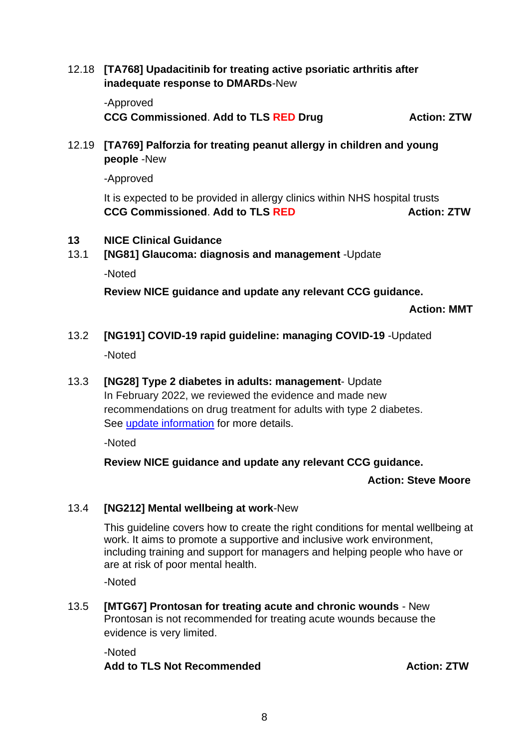12.18 **[TA768] Upadacitinib for treating active psoriatic arthritis after inadequate response to DMARDs**-New

-Approved **CCG Commissioned**. **Add to TLS RED Drug Action: ZTW**

12.19 **[TA769] Palforzia for treating peanut allergy in children and young people** -New

-Approved

It is expected to be provided in allergy clinics within NHS hospital trusts **CCG Commissioned**. **Add to TLS RED Action: ZTW**

- **13 NICE Clinical Guidance**
- 13.1 **[NG81] Glaucoma: diagnosis and management** -Update

-Noted

**Review NICE guidance and update any relevant CCG guidance.**

 **Action: MMT**

13.2 **[NG191] COVID-19 rapid guideline: managing COVID-19** -Updated

-Noted

13.3 **[NG28] Type 2 diabetes in adults: management**- Update In February 2022, we reviewed the evidence and made new recommendations on drug treatment for adults with type 2 diabetes. See [update information](https://www.nice.org.uk/guidance/ng28/chapter/Update-information) for more details.

-Noted

# **Review NICE guidance and update any relevant CCG guidance.**

**Action: Steve Moore**

# 13.4 **[NG212] Mental wellbeing at work**-New

This guideline covers how to create the right conditions for mental wellbeing at work. It aims to promote a supportive and inclusive work environment, including training and support for managers and helping people who have or are at risk of poor mental health.

-Noted

13.5 **[MTG67] Prontosan for treating acute and chronic wounds** - New Prontosan is not recommended for treating acute wounds because the evidence is very limited.

-Noted Add to TLS Not Recommended **Action: ZTW**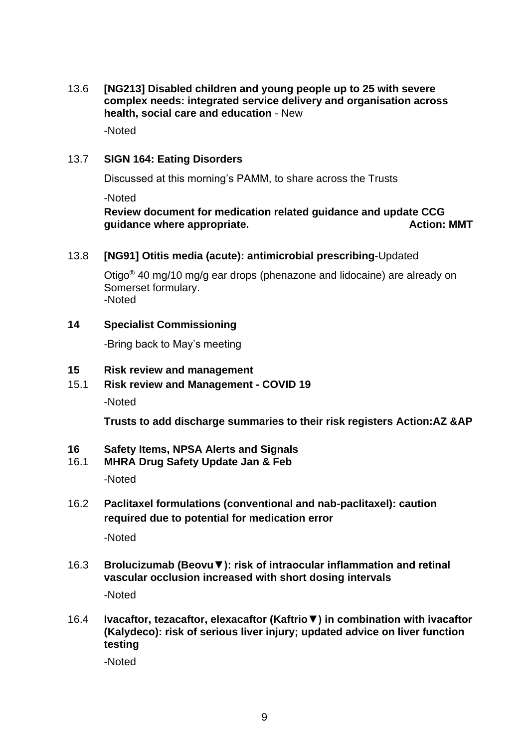13.6 **[NG213] Disabled children and young people up to 25 with severe complex needs: integrated service delivery and organisation across health, social care and education** - New

-Noted

#### 13.7 **SIGN 164: Eating Disorders**

Discussed at this morning's PAMM, to share across the Trusts

-Noted

### **Review document for medication related guidance and update CCG guidance where appropriate.** Action: MMT

#### 13.8 **[NG91] Otitis media (acute): antimicrobial prescribing**-Updated

Otigo® 40 mg/10 mg/g ear drops (phenazone and lidocaine) are already on Somerset formulary. -Noted

#### **14 Specialist Commissioning**

-Bring back to May's meeting

#### **15 Risk review and management**

15.1 **Risk review and Management - COVID 19**

-Noted

**Trusts to add discharge summaries to their risk registers Action:AZ &AP**

#### **16 Safety Items, NPSA Alerts and Signals**

- 16.1 **MHRA Drug Safety Update Jan & Feb** -Noted
- 16.2 **Paclitaxel formulations (conventional and nab-paclitaxel): caution required due to potential for medication error**

-Noted

- 16.3 **Brolucizumab (Beovu▼): risk of intraocular inflammation and retinal vascular occlusion increased with short dosing intervals**  -Noted
- 16.4 **Ivacaftor, tezacaftor, elexacaftor (Kaftrio▼) in combination with ivacaftor (Kalydeco): risk of serious liver injury; updated advice on liver function testing**

-Noted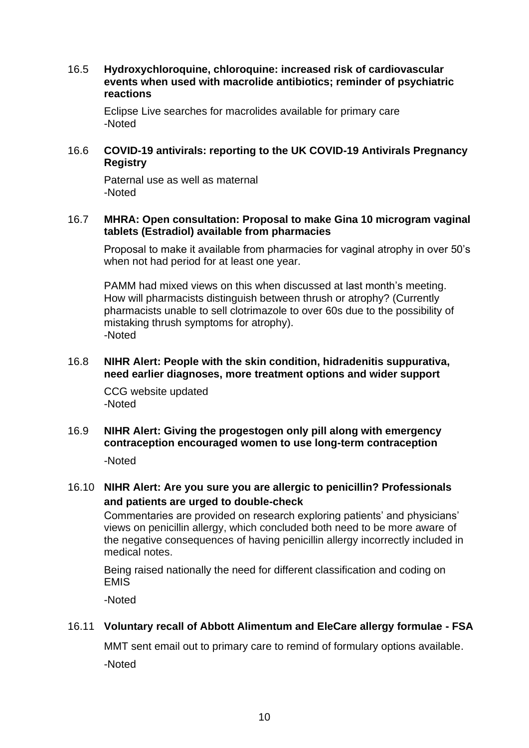16.5 **Hydroxychloroquine, chloroquine: increased risk of cardiovascular events when used with macrolide antibiotics; reminder of psychiatric reactions** 

Eclipse Live searches for macrolides available for primary care -Noted

# 16.6 **COVID-19 antivirals: reporting to the UK COVID-19 Antivirals Pregnancy Registry**

Paternal use as well as maternal -Noted

#### 16.7 **MHRA: Open consultation: Proposal to make Gina 10 microgram vaginal tablets (Estradiol) available from pharmacies**

Proposal to make it available from pharmacies for vaginal atrophy in over 50's when not had period for at least one year.

PAMM had mixed views on this when discussed at last month's meeting. How will pharmacists distinguish between thrush or atrophy? (Currently pharmacists unable to sell clotrimazole to over 60s due to the possibility of mistaking thrush symptoms for atrophy). -Noted

#### 16.8 **NIHR Alert: People with the skin condition, hidradenitis suppurativa, need earlier diagnoses, more treatment options and wider support**

CCG website updated -Noted

# 16.9 **NIHR Alert: Giving the progestogen only pill along with emergency contraception encouraged women to use long-term contraception**

-Noted

# 16.10 **NIHR Alert: Are you sure you are allergic to penicillin? Professionals and patients are urged to double-check**

Commentaries are provided on research exploring patients' and physicians' views on penicillin allergy, which concluded both need to be more aware of the negative consequences of having penicillin allergy incorrectly included in medical notes.

Being raised nationally the need for different classification and coding on EMIS

-Noted

# 16.11 **Voluntary recall of Abbott Alimentum and EleCare allergy formulae - FSA**

MMT sent email out to primary care to remind of formulary options available. -Noted